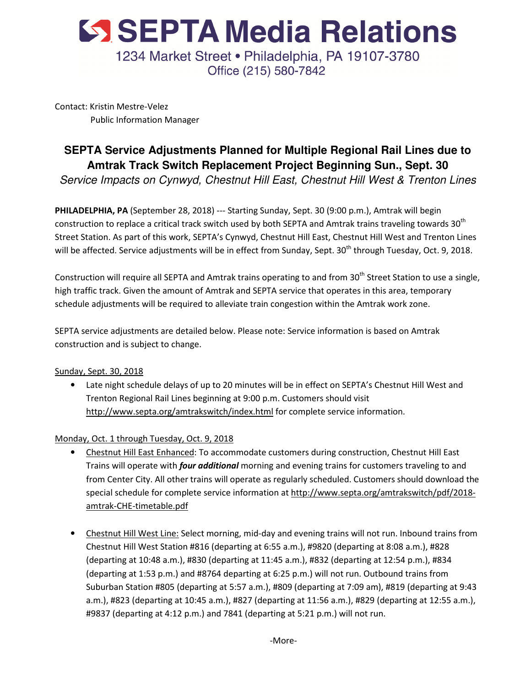

Contact: Kristin Mestre-Velez Public Information Manager

## **SEPTA Service Adjustments Planned for Multiple Regional Rail Lines due to Amtrak Track Switch Replacement Project Beginning Sun., Sept. 30**

Service Impacts on Cynwyd, Chestnut Hill East, Chestnut Hill West & Trenton Lines

PHILADELPHIA, PA (September 28, 2018) --- Starting Sunday, Sept. 30 (9:00 p.m.), Amtrak will begin construction to replace a critical track switch used by both SEPTA and Amtrak trains traveling towards 30<sup>th</sup> Street Station. As part of this work, SEPTA's Cynwyd, Chestnut Hill East, Chestnut Hill West and Trenton Lines will be affected. Service adjustments will be in effect from Sunday, Sept.  $30<sup>th</sup>$  through Tuesday, Oct. 9, 2018.

Construction will require all SEPTA and Amtrak trains operating to and from 30<sup>th</sup> Street Station to use a single, high traffic track. Given the amount of Amtrak and SEPTA service that operates in this area, temporary schedule adjustments will be required to alleviate train congestion within the Amtrak work zone.

SEPTA service adjustments are detailed below. Please note: Service information is based on Amtrak construction and is subject to change.

Sunday, Sept. 30, 2018

• Late night schedule delays of up to 20 minutes will be in effect on SEPTA's Chestnut Hill West and Trenton Regional Rail Lines beginning at 9:00 p.m. Customers should visit http://www.septa.org/amtrakswitch/index.html for complete service information.

Monday, Oct. 1 through Tuesday, Oct. 9, 2018

- Chestnut Hill East Enhanced: To accommodate customers during construction, Chestnut Hill East Trains will operate with *four additional* morning and evening trains for customers traveling to and from Center City. All other trains will operate as regularly scheduled. Customers should download the special schedule for complete service information at http://www.septa.org/amtrakswitch/pdf/2018 amtrak-CHE-timetable.pdf
- Chestnut Hill West Line: Select morning, mid-day and evening trains will not run. Inbound trains from Chestnut Hill West Station #816 (departing at 6:55 a.m.), #9820 (departing at 8:08 a.m.), #828 (departing at 10:48 a.m.), #830 (departing at 11:45 a.m.), #832 (departing at 12:54 p.m.), #834 (departing at 1:53 p.m.) and #8764 departing at 6:25 p.m.) will not run. Outbound trains from Suburban Station #805 (departing at 5:57 a.m.), #809 (departing at 7:09 am), #819 (departing at 9:43 a.m.), #823 (departing at 10:45 a.m.), #827 (departing at 11:56 a.m.), #829 (departing at 12:55 a.m.), #9837 (departing at 4:12 p.m.) and 7841 (departing at 5:21 p.m.) will not run.